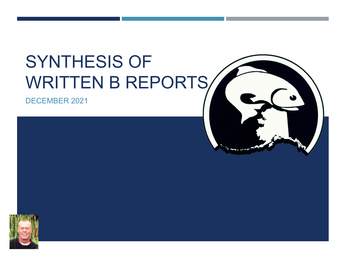# SYNTHESIS OF WRITTEN B REPORTS/

DECEMBER 2021



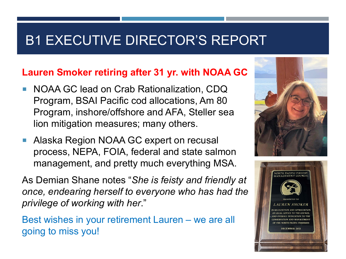#### **Lauren Smoker retiring after 31 yr. with NOAA GC**

- NOAA GC lead on Crab Rationalization, CDQ Program, BSAI Pacific cod allocations, Am 80 Program, inshore/offshore and AFA, Steller sea lion mitigation measures; many others.
- **Alaska Region NOAA GC expert on recusal** process, NEPA, FOIA, federal and state salmon management, and pretty much everything MSA.

As Demian Shane notes "*She is feisty and friendly at once, endearing herself to everyone who has had the privilege of working with her*."

Best wishes in your retirement Lauren – we are all going to miss you!



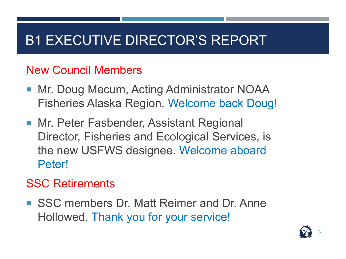#### New Council Members

- Mr. Doug Mecum, Acting Administrator NOAA Fisheries Alaska Region. Welcome back Doug!
- **Mr. Peter Fasbender, Assistant Regional** Director, Fisheries and Ecological Services, is the new USFWS designee. Welcome aboard Peter!

#### SSC Retirements

■ SSC members Dr. Matt Reimer and Dr. Anne Hollowed. Thank you for your service!

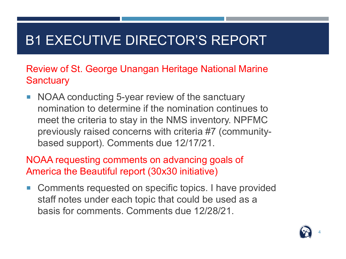Review of St. George Unangan Heritage National Marine **Sanctuary** 

■ NOAA conducting 5-year review of the sanctuary nomination to determine if the nomination continues to meet the criteria to stay in the NMS inventory. NPFMC previously raised concerns with criteria #7 (communitybased support). Comments due 12/17/21.

NOAA requesting comments on advancing goals of America the Beautiful report (30x30 initiative)

**Comments requested on specific topics. I have provided** staff notes under each topic that could be used as a basis for comments. Comments due 12/28/21.

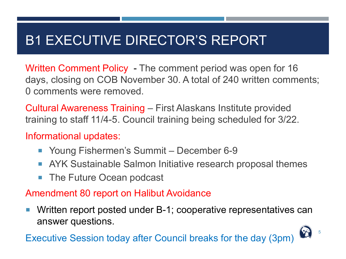Written Comment Policy - The comment period was open for 16 days, closing on COB November 30. A total of 240 written comments; 0 comments were removed.

Cultural Awareness Training – First Alaskans Institute provided training to staff 11/4-5. Council training being scheduled for 3/22.

Informational updates:

- Young Fishermen's Summit December 6-9
- **AYK Sustainable Salmon Initiative research proposal themes**
- The Future Ocean podcast

#### Amendment 80 report on Halibut Avoidance

 Written report posted under B-1; cooperative representatives can answer questions.

Executive Session today after Council breaks for the day (3pm)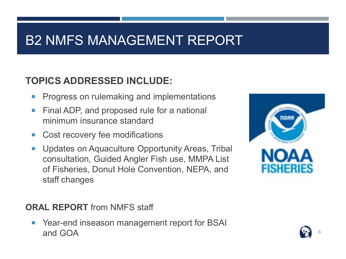## B2 NMFS MANAGEMENT REPORT

#### **TOPICS ADDRESSED INCLUDE:**

- Progress on rulemaking and implementations
- Final ADP, and proposed rule for a national minimum insurance standard
- Cost recovery fee modifications
- Updates on Aquaculture Opportunity Areas, Tribal consultation, Guided Angler Fish use, MMPA List of Fisheries, Donut Hole Convention, NEPA, and staff changes



■ Year-end inseason management report for BSAI and GOA 6  $\left(\begin{matrix} \bullet & \bullet \end{matrix}\right)$  . The contract of  $\left(\begin{matrix} \bullet & \bullet \end{matrix}\right)$  is a set of  $\left(\begin{matrix} \bullet & \bullet \end{matrix}\right)$  .



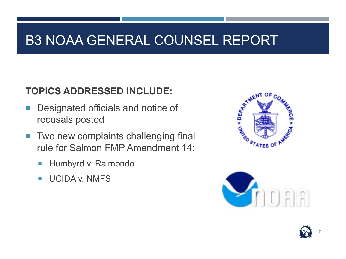### B3 NOAA GENERAL COUNSEL REPORT

#### **TOPICS ADDRESSED INCLUDE:**

- Designated officials and notice of recusals posted
- **Two new complaints challenging final** rule for Salmon FMP Amendment 14:
	- **Humbyrd v. Raimondo**
	- **UCIDA v. NMFS**





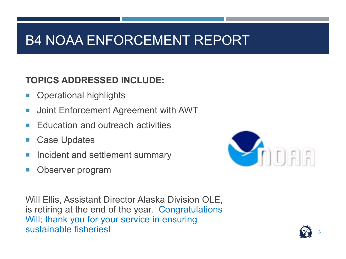## B4 NOAA ENFORCEMENT REPORT

#### **TOPICS ADDRESSED INCLUDE:**

- **Operational highlights**
- **Joint Enforcement Agreement with AWT**
- Education and outreach activities
- Case Updates
- Incident and settlement summary
- Observer program



Will Ellis, Assistant Director Alaska Division OLE, is retiring at the end of the year. Congratulations Will; thank you for your service in ensuring sustainable fisheries!

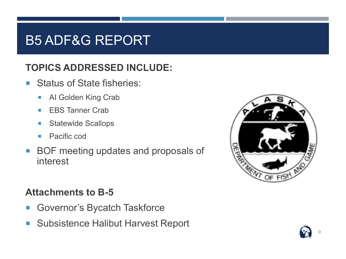### B5 ADF&G REPORT

#### **TOPICS ADDRESSED INCLUDE:**

- Status of State fisheries:
	- **AI Golden King Crab**
	- **ERS Tanner Crab**
	- **Statewide Scallops**
	- **Pacific cod**
- BOF meeting updates and proposals of interest

#### **Attachments to B-5**

- **Governor's Bycatch Taskforce**
- Subsistence Halibut Harvest Report



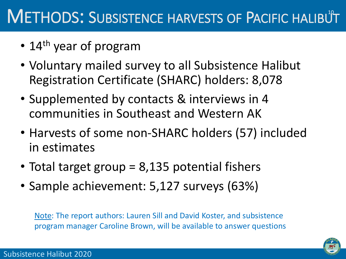# METHODS: SUBSISTENCE HARVESTS OF PACIFIC HALIBUT

- 14<sup>th</sup> year of program
- Voluntary mailed survey to all Subsistence Halibut Registration Certificate (SHARC) holders: 8,078
- Supplemented by contacts & interviews in 4 communities in Southeast and Western AK
- Harvests of some non-SHARC holders (57) included in estimates
- Total target group = 8,135 potential fishers
- Sample achievement: 5,127 surveys (63%)

Note: The report authors: Lauren Sill and David Koster, and subsistence program manager Caroline Brown, will be available to answer questions

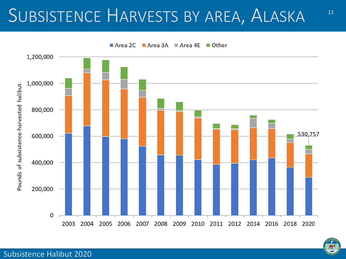# SUBSISTENCE HARVESTS BY AREA, ALASKA

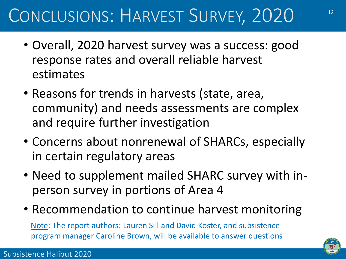# CONCLUSIONS: HARVEST SURVEY, 2020

- Overall, 2020 harvest survey was a success: good response rates and overall reliable harvest estimates
- Reasons for trends in harvests (state, area, community) and needs assessments are complex and require further investigation
- Concerns about nonrenewal of SHARCs, especially in certain regulatory areas
- Need to supplement mailed SHARC survey with inperson survey in portions of Area 4
- Recommendation to continue harvest monitoring

Note: The report authors: Lauren Sill and David Koster, and subsistence program manager Caroline Brown, will be available to answer questions

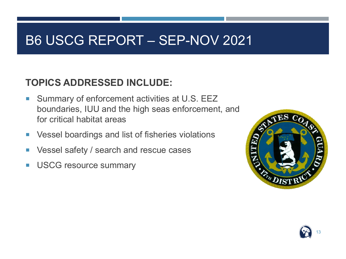### B6 USCG REPORT – SEP-NOV 2021

#### **TOPICS ADDRESSED INCLUDE:**

- Summary of enforcement activities at U.S. EEZ boundaries, IUU and the high seas enforcement, and for critical habitat areas
- **Vessel boardings and list of fisheries violations**
- Vessel safety / search and rescue cases
- **USCG resource summary**